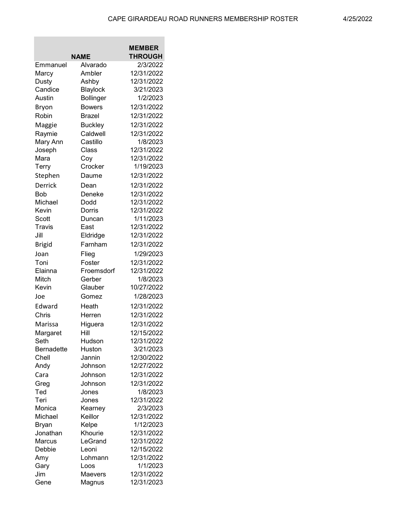|                   |                            | <b>MEMBER</b>  |
|-------------------|----------------------------|----------------|
|                   | NAME                       | <b>THROUGH</b> |
| Emmanuel          | Alvarado                   | 2/3/2022       |
| Marcy             | Ambler                     | 12/31/2022     |
| Dusty             | Ashby                      | 12/31/2022     |
| Candice           | Blaylock                   | 3/21/2023      |
| Austin            | <b>Bollinger</b>           | 1/2/2023       |
| Bryon             | <b>Bowers</b>              | 12/31/2022     |
| Robin             | <b>Brazel</b>              | 12/31/2022     |
|                   |                            | 12/31/2022     |
| Maggie            | <b>Buckley</b><br>Caldwell | 12/31/2022     |
| Raymie            |                            | 1/8/2023       |
| Mary Ann          | Castillo<br>Class          | 12/31/2022     |
| Joseph<br>Mara    |                            | 12/31/2022     |
|                   | Coy<br>Crocker             | 1/19/2023      |
| Terry             |                            |                |
| Stephen           | Daume                      | 12/31/2022     |
| Derrick           | Dean                       | 12/31/2022     |
| <b>Bob</b>        | Deneke                     | 12/31/2022     |
| Michael           | Dodd                       | 12/31/2022     |
| Kevin             | Dorris                     | 12/31/2022     |
| Scott             | Duncan                     | 1/11/2023      |
| <b>Travis</b>     | East                       | 12/31/2022     |
| Jill              | Eldridge                   | 12/31/2022     |
| <b>Brigid</b>     | Farnham                    | 12/31/2022     |
| Joan              | Flieg                      | 1/29/2023      |
| Toni              | Foster                     | 12/31/2022     |
| Elainna           | Froemsdorf                 | 12/31/2022     |
| Mitch             | Gerber                     | 1/8/2023       |
| Kevin             | Glauber                    | 10/27/2022     |
| Joe               | Gomez                      | 1/28/2023      |
| Edward            | Heath                      | 12/31/2022     |
| Chris             | Herren                     | 12/31/2022     |
| Marissa           | Higuera                    | 12/31/2022     |
| Margaret          | Hill                       | 12/15/2022     |
| Seth              | Hudson                     | 12/31/2022     |
| <b>Bernadette</b> | Huston                     | 3/21/2023      |
| Chell             | Jannin                     | 12/30/2022     |
| Andy              | Johnson                    | 12/27/2022     |
| Cara              | Johnson                    | 12/31/2022     |
| Greg              | Johnson                    | 12/31/2022     |
| Ted               | Jones                      | 1/8/2023       |
| Teri              | Jones                      | 12/31/2022     |
| Monica            | Kearney                    | 2/3/2023       |
| Michael           | Keillor                    | 12/31/2022     |
| Bryan             | Kelpe                      | 1/12/2023      |
| Jonathan          | Khourie                    | 12/31/2022     |
| Marcus            | LeGrand                    | 12/31/2022     |
| Debbie            | Leoni                      | 12/15/2022     |
| Amy               | Lohmann                    | 12/31/2022     |
| Gary              | Loos                       | 1/1/2023       |
| Jim               | Maevers                    | 12/31/2022     |
| Gene              | Magnus                     | 12/31/2023     |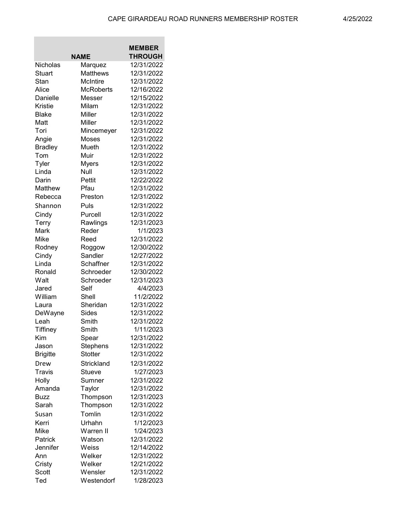the control of the control of the

**Contract Contract** 

|                 |                  | <b>MEMBER</b>  |
|-----------------|------------------|----------------|
|                 | <b>NAME</b>      | <b>THROUGH</b> |
| Nicholas        | Marquez          | 12/31/2022     |
| <b>Stuart</b>   | <b>Matthews</b>  | 12/31/2022     |
| Stan            | <b>McIntire</b>  | 12/31/2022     |
| Alice           | <b>McRoberts</b> | 12/16/2022     |
| Danielle        | Messer           | 12/15/2022     |
| <b>Kristie</b>  | Milam            | 12/31/2022     |
| <b>Blake</b>    | Miller           | 12/31/2022     |
| Matt            | Miller           | 12/31/2022     |
| Tori            | Mincemeyer       | 12/31/2022     |
| Angie           | Moses            | 12/31/2022     |
| <b>Bradley</b>  | Mueth            | 12/31/2022     |
| Tom             | Muir             | 12/31/2022     |
| Tyler           | <b>Myers</b>     | 12/31/2022     |
| Linda           | Null             | 12/31/2022     |
| Darin           | Pettit           | 12/22/2022     |
| Matthew         | Pfau             | 12/31/2022     |
| Rebecca         | Preston          | 12/31/2022     |
| Shannon         | Puls             | 12/31/2022     |
| Cindy           | Purcell          | 12/31/2022     |
| Terry           | Rawlings         | 12/31/2023     |
| Mark            | Reder            | 1/1/2023       |
| Mike            | Reed             | 12/31/2022     |
| Rodney          | Roggow           | 12/30/2022     |
| Cindy           | Sandler          | 12/27/2022     |
| Linda           | Schaffner        | 12/31/2022     |
| Ronald          | Schroeder        | 12/30/2022     |
| Walt            | Schroeder        | 12/31/2023     |
| Jared           | Self             | 4/4/2023       |
| William         | Shell            | 11/2/2022      |
| Laura           | Sheridan         | 12/31/2022     |
| DeWayne         | Sides            | 12/31/2022     |
| Leah            | Smith            | 12/31/2022     |
| Tiffiney        | Smith            | 1/11/2023      |
| Kim             | Spear            | 12/31/2022     |
| Jason           | Stephens         | 12/31/2022     |
| <b>Brigitte</b> | <b>Stotter</b>   | 12/31/2022     |
| Drew            | Strickland       | 12/31/2022     |
| Travis          | Stueve           | 1/27/2023      |
| Holly           | Sumner           | 12/31/2022     |
| Amanda          | Taylor           | 12/31/2022     |
| <b>Buzz</b>     | Thompson         | 12/31/2023     |
| Sarah           | Thompson         | 12/31/2022     |
| Susan           | Tomlin           | 12/31/2022     |
| Kerri           | Urhahn           | 1/12/2023      |
| Mike            | Warren II        | 1/24/2023      |
| Patrick         | Watson           | 12/31/2022     |
| Jennifer        | Weiss            | 12/14/2022     |
| Ann             | Welker           | 12/31/2022     |
| Cristy          | Welker           | 12/21/2022     |
| Scott           | Wensler          | 12/31/2022     |
| Ted             | Westendorf       | 1/28/2023      |